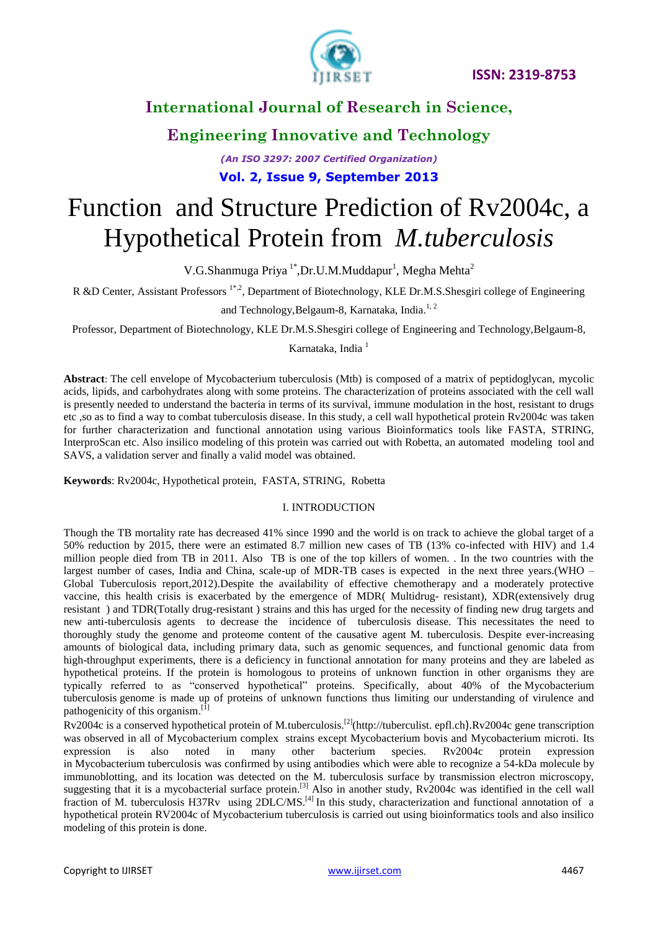

**Engineering Innovative and Technology**

*(An ISO 3297: 2007 Certified Organization)* **Vol. 2, Issue 9, September 2013**

# Function and Structure Prediction of Rv2004c, a Hypothetical Protein from *M.tuberculosis*

V.G.Shanmuga Priya<sup>1\*</sup>, Dr.U.M.Muddapur<sup>1</sup>, Megha Mehta<sup>2</sup>

R &D Center, Assistant Professors<sup>1\*,2</sup>, Department of Biotechnology, KLE Dr.M.S.Shesgiri college of Engineering

and Technology, Belgaum-8, Karnataka, India.<sup>1, 2</sup>

Professor, Department of Biotechnology, KLE Dr.M.S.Shesgiri college of Engineering and Technology,Belgaum-8,

Karnataka, India<sup>1</sup>

**Abstract**: The cell envelope of Mycobacterium tuberculosis (Mtb) is composed of a matrix of peptidoglycan, mycolic acids, lipids, and carbohydrates along with some proteins. The characterization of proteins associated with the cell wall is presently needed to understand the bacteria in terms of its survival, immune modulation in the host, resistant to drugs etc ,so as to find a way to combat tuberculosis disease. In this study, a cell wall hypothetical protein Rv2004c was taken for further characterization and functional annotation using various Bioinformatics tools like FASTA, STRING, InterproScan etc. Also insilico modeling of this protein was carried out with Robetta, an automated modeling tool and SAVS, a validation server and finally a valid model was obtained.

**Keywords**: Rv2004c, Hypothetical protein, FASTA, STRING, Robetta

#### I. INTRODUCTION

Though the TB mortality rate has decreased 41% since 1990 and the world is on track to achieve the global target of a 50% reduction by 2015, there were an estimated 8.7 million new cases of TB (13% co-infected with HIV) and 1.4 million people died from TB in 2011. Also TB is one of the top killers of women. . In the two countries with the largest number of cases, India and China, scale-up of MDR-TB cases is expected in the next three years.(WHO – Global Tuberculosis report,2012).Despite the availability of effective chemotherapy and a moderately protective vaccine, this health crisis is exacerbated by the emergence of MDR( Multidrug- resistant), XDR(extensively drug resistant ) and TDR(Totally drug-resistant ) strains and this has urged for the necessity of finding new drug targets and new anti-tuberculosis agents to decrease the incidence of tuberculosis disease. This necessitates the need to thoroughly study the genome and proteome content of the causative agent M. tuberculosis. Despite ever-increasing amounts of biological data, including primary data, such as genomic sequences, and functional genomic data from high-throughput experiments, there is a deficiency in functional annotation for many proteins and they are labeled as hypothetical proteins. If the protein is homologous to proteins of unknown function in other organisms they are typically referred to as "conserved hypothetical" proteins. Specifically, about 40% of the Mycobacterium tuberculosis genome is made up of proteins of unknown functions thus limiting our understanding of virulence and pathogenicity of this organism.<sup>[1]</sup>

Rv2004c is a conserved hypothetical protein of M.tuberculosis.[2](http://tuberculist. epfl.ch).Rv2004c gene transcription was observed in all of Mycobacterium complex strains except Mycobacterium bovis and Mycobacterium microti. Its expression is also noted in many other bacterium species. Rv2004c protein expression in Mycobacterium tuberculosis was confirmed by using antibodies which were able to recognize a 54-kDa molecule by immunoblotting, and its location was detected on the M. tuberculosis surface by transmission electron microscopy, suggesting that it is a mycobacterial surface protein.<sup>[3]</sup> Also in another study, Rv2004c was identified in the cell wall fraction of M. tuberculosis H37Rv using 2DLC/MS.<sup>[4]</sup> In this study, characterization and functional annotation of a hypothetical protein RV2004c of Mycobacterium tuberculosis is carried out using bioinformatics tools and also insilico modeling of this protein is done.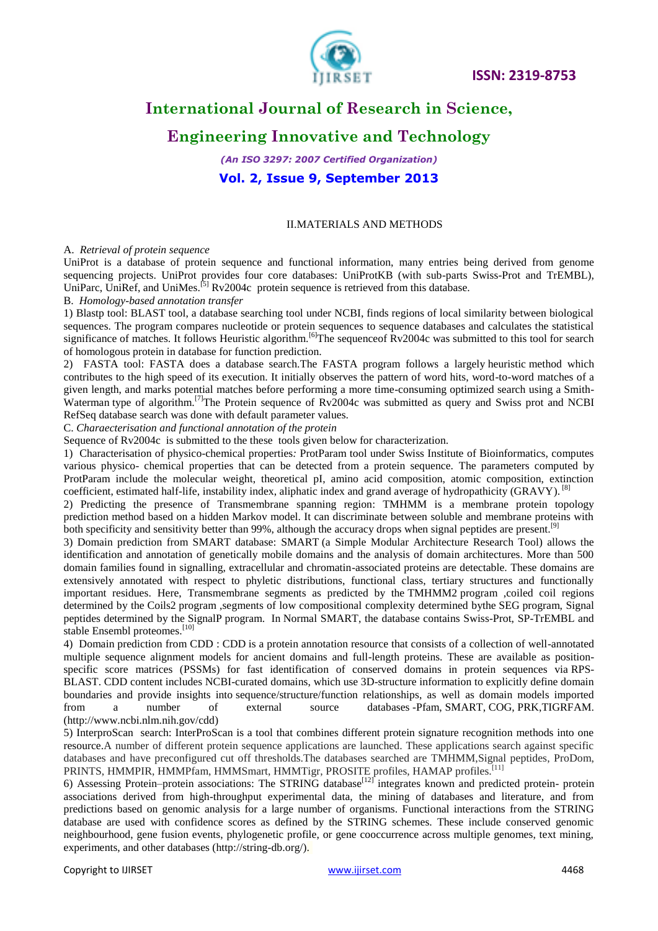

# **Engineering Innovative and Technology**

*(An ISO 3297: 2007 Certified Organization)* **Vol. 2, Issue 9, September 2013**

#### II.MATERIALS AND METHODS

#### A. *Retrieval of protein sequence*

UniProt is a database of [protein sequence](http://en.wikipedia.org/wiki/Protein_sequence) and functional information, many entries being derived from [genome](http://en.wikipedia.org/wiki/Genome_sequencing_project)  [sequencing projects.](http://en.wikipedia.org/wiki/Genome_sequencing_project) UniProt provides four core databases: UniProtKB (with sub-parts Swiss-Prot and TrEMBL), UniParc, UniRef, and UniMes.<sup>[5]</sup> Rv2004c protein sequence is retrieved from this database.

#### B. *Homology-based annotation transfer*

1) Blastp tool: BLAST tool, a database searching tool under NCBI, finds regions of local similarity between biological sequences. The program compares nucleotide or protein sequences to sequence databases and calculates the statistical significance of matches. It follows Heuristic algorithm.<sup>[6]</sup>The sequence Rv2004c was submitted to this tool for search of homologous protein in database for function prediction.

2) FASTA tool: FASTA does a database search.The FASTA program follows a largely [heuristic](http://en.wikipedia.org/wiki/Heuristic) method which contributes to the high speed of its execution. It initially observes the pattern of word hits, word-to-word matches of a given length, and marks potential matches before performing a more time-consuming optimized search using a [Smith-](http://en.wikipedia.org/wiki/Smith-Waterman_algorithm)[Waterman](http://en.wikipedia.org/wiki/Smith-Waterman_algorithm) type of algorithm.<sup>[7]</sup>The Protein sequence of Rv2004c was submitted as query and Swiss prot and NCBI RefSeq database search was done with default parameter values.

C. *Charaecterisation and functional annotation of the protein*

Sequence of Rv2004c is submitted to the these tools given below for characterization.

1) Characterisation of physico-chemical properties*:* ProtParam tool under Swiss Institute of Bioinformatics, computes various physico- chemical properties that can be detected from a protein sequence. The parameters computed by ProtParam include the molecular weight, theoretical pI, amino acid composition, atomic composition, extinction coefficient, estimated half-life, instability index, aliphatic index and grand average of hydropathicity (GRAVY). <sup>[8]</sup>

2) Predicting the presence of Transmembrane spanning region: TMHMM is a membrane protein topology prediction method based on a hidden Markov model. It can discriminate between soluble and membrane proteins with both specificity and sensitivity better than 99%, although the accuracy drops when signal peptides are present.<sup>[9]</sup>

3) Domain prediction from SMART database: SMART (a Simple Modular Architecture Research Tool) allows the identification and annotation of genetically mobile domains and the analysis of domain architectures. More than 500 domain families found in signalling, extracellular and chromatin-associated proteins are detectable. These domains are extensively annotated with respect to phyletic distributions, functional class, tertiary structures and functionally important residues. Here, Transmembrane segments as predicted by the [TMHMM2](http://smart.embl-heidelberg.de/help/smart_glossary.shtml#TMHMM) program ,coiled coil regions determined by the [Coils2](http://smart.embl-heidelberg.de/help/smart_glossary.shtml#Coils) program ,segments of low compositional complexity determined bythe [SEG](http://smart.embl-heidelberg.de/help/smart_glossary.shtml#SEG) program, Signal peptides determined by the [SignalP](http://smart.embl-heidelberg.de/help/smart_glossary.shtml#SignalP) program. In Normal SMART, the database contains Swiss-Prot, SP-TrEMBL and stable Ensembl proteomes.<sup>[10]</sup>

4) Domain prediction from CDD : [CDD](http://www.ncbi.nlm.nih.gov/cdd/) is a protein annotation resource that consists of a collection of well-annotated multiple sequence alignment models for ancient domains and full-length proteins. These are available as positionspecific score matrices [\(PSSMs\)](http://www.ncbi.nlm.nih.gov/Structure/cdd/cdd_help.shtml#CD_PSSM) for fast identification of conserved domains in protein sequences via [RPS-](http://www.ncbi.nlm.nih.gov/Structure/cdd/cdd_help.shtml#RPSBWhat)[BLAST.](http://www.ncbi.nlm.nih.gov/Structure/cdd/cdd_help.shtml#RPSBWhat) [CDD content](http://www.ncbi.nlm.nih.gov/Structure/cdd/cdd_help.shtml#CDSource) includes [NCBI-curated domains,](http://www.ncbi.nlm.nih.gov/Structure/cdd/cdd_help.shtml#CDSource_NCBI_curated) which use [3D-structure](http://www.ncbi.nlm.nih.gov/Structure/cdd/cdd_help.shtml#Include3DStruct) information to explicitly define domain boundaries and provide insights into [sequence/structure/function relationships,](http://www.ncbi.nlm.nih.gov/Structure/cdd/cdd_help.shtml#NCBI_curated_domains) as well as domain models imported from a number of [external source databases](http://www.ncbi.nlm.nih.gov/Structure/cdd/cdd_help.shtml#CDSource_external) [-Pfam,](http://pfam.sanger.ac.uk/) [SMART,](http://smart.embl-heidelberg.de/) [COG,](http://www.ncbi.nlm.nih.gov/COG/new/) [PRK](http://www.ncbi.nlm.nih.gov/proteinclusters/)[,TIGRFAM.](http://www.jcvi.org/cms/research/projects/tigrfams/overview/) [\(http://www.ncbi.nlm.nih.gov/cdd\)](http://www.ncbi.nlm.nih.gov/cdd)

5) InterproScan search: InterProScan is a tool that combines different protein signature recognition methods into one resource.A number of different protein sequence applications are launched. These applications search against specific databases and have preconfigured cut off thresholds.The databases searched are TMHMM,Signal peptides, ProDom, PRINTS, HMMPIR, HMMPfam, HMMSmart, HMMTigr, PROSITE profiles, HAMAP profiles.<sup>[11</sup>]

6) Assessing Protein–protein associations: The STRING database<sup>[12]</sup> integrates known and predicted protein- protein associations derived from high-throughput experimental data, the mining of databases and literature, and from predictions based on genomic analysis for a large number of organisms. Functional interactions from the STRING database are used with confidence scores as defined by the STRING schemes. These include conserved genomic neighbourhood, gene fusion events, phylogenetic profile, or gene cooccurrence across multiple genomes, text mining, experiments, and other databases [\(http://string-db.org/\)](http://string-db.org/).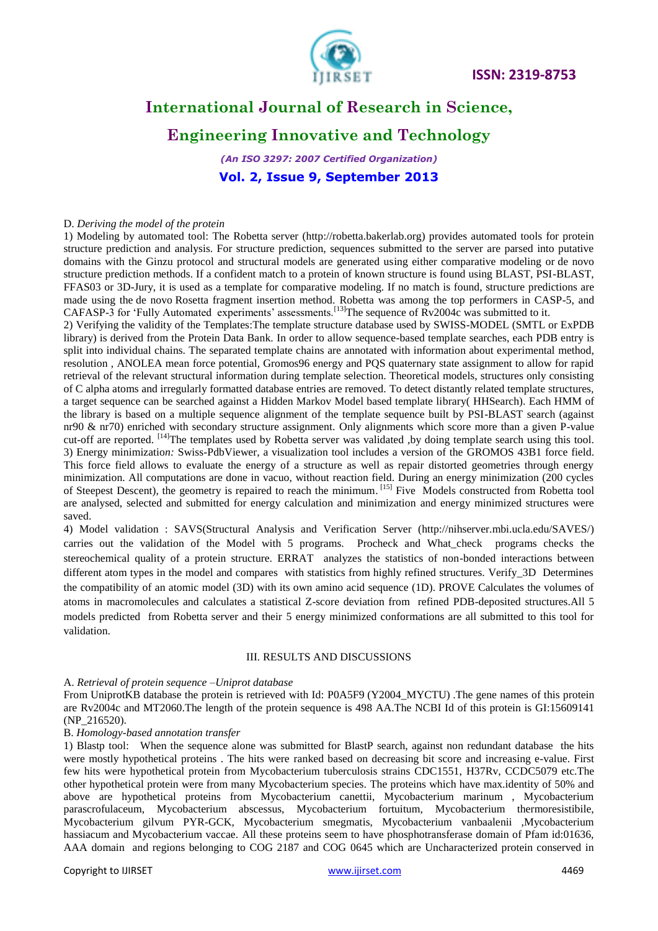

# **Engineering Innovative and Technology**

*(An ISO 3297: 2007 Certified Organization)* **Vol. 2, Issue 9, September 2013**

#### D. *Deriving the model of the protein*

1) Modeling by automated tool: The Robetta server [\(http://robetta.bakerlab.org\)](http://robetta.bakerlab.org/) provides automated tools for protein structure prediction and analysis. For structure prediction, sequences submitted to the server are parsed into putative domains with the Ginzu protocol and structural models are generated using either comparative modeling or de novo structure prediction methods. If a confident match to a protein of known structure is found using BLAST, PSI-BLAST, FFAS03 or 3D-Jury, it is used as a template for comparative modeling. If no match is found, structure predictions are made using the de novo Rosetta fragment insertion method. Robetta was among the top performers in CASP-5, and CAFASP-3 for 'Fully Automated experiments' assessments.<sup>[13]</sup>The sequence of  $Rv2004c$  was submitted to it.

2) Verifying the validity of the Templates:The template structure database used by SWISS-MODEL (SMTL or ExPDB library) is derived from the Protein Data Bank. In order to allow sequence-based template searches, each PDB entry is split into individual chains. The separated template chains are annotated with information about experimental method, resolution , ANOLEA mean force potential, Gromos96 energy and PQS quaternary state assignment to allow for rapid retrieval of the relevant structural information during template selection. Theoretical models, structures only consisting of C alpha atoms and irregularly formatted database entries are removed. To detect distantly related template structures, a target sequence can be searched against a Hidden Markov Model based template library( HHSearch). Each HMM of the library is based on a multiple sequence alignment of the template sequence built by PSI-BLAST search (against nr90 & nr70) enriched with secondary structure assignment. Only alignments which score more than a given P-value cut-off are reported. <sup>[14]</sup>The templates used by Robetta server was validated ,by doing template search using this tool. 3) Energy minimizatio*n:* Swiss-PdbViewer, a visualization tool includes a version of the [GROMOS](http://www.igc.ethz.ch/gromos/) 43B1 force field. This force field allows to evaluate the energy of a structure as well as repair distorted geometries through energy minimization. All computations are done in vacuo, without reaction field. During an energy minimization (200 cycles of Steepest Descent), the geometry is repaired to reach the minimum. [15] Five Models constructed from Robetta tool are analysed, selected and submitted for energy calculation and minimization and energy minimized structures were saved.

4) Model validation : SAVS(Structural Analysis and Verification Server [\(http://nihserver.mbi.ucla.edu/SAVES/\)](http://nihserver.mbi.ucla.edu/SAVES/) carries out the validation of the Model with 5 programs. Procheck and What\_check programs checks the stereochemical quality of a protein structure. ERRAT analyzes the statistics of non-bonded interactions between different atom types in the model and compares with statistics from highly refined structures. Verify\_3D Determines the compatibility of an atomic model (3D) with its own amino acid sequence (1D). PROVE Calculates the volumes of atoms in macromolecules and calculates a statistical Z-score deviation from refined PDB-deposited structures.All 5 models predicted from Robetta server and their 5 energy minimized conformations are all submitted to this tool for validation.

#### III. RESULTS AND DISCUSSIONS

#### A. *Retrieval of protein sequence –Uniprot database*

From UniprotKB database the protein is retrieved with Id: P0A5F9 (Y2004\_MYCTU) .The gene names of this protein are Rv2004c and MT2060.The length of the protein sequence is 498 AA.The NCBI Id of this protein is GI:15609141 (NP\_216520).

#### B. *Homology-based annotation transfer*

1) Blastp tool: When the sequence alone was submitted for BlastP search, against non redundant database the hits were mostly hypothetical proteins . The hits were ranked based on decreasing bit score and increasing e-value. First few hits were hypothetical protein from Mycobacterium tuberculosis strains CDC1551, H37Rv, CCDC5079 etc.The other hypothetical protein were from many Mycobacterium species. The proteins which have max.identity of 50% and above are hypothetical proteins from Mycobacterium canettii, Mycobacterium marinum , Mycobacterium parascrofulaceum, Mycobacterium abscessus, Mycobacterium fortuitum, Mycobacterium thermoresistibile, Mycobacterium gilvum PYR-GCK, Mycobacterium smegmatis, Mycobacterium vanbaalenii ,Mycobacterium hassiacum and Mycobacterium vaccae. All these proteins seem to have phosphotransferase domain of Pfam id:01636, AAA domain and regions belonging to COG 2187 and COG 0645 which are Uncharacterized protein conserved in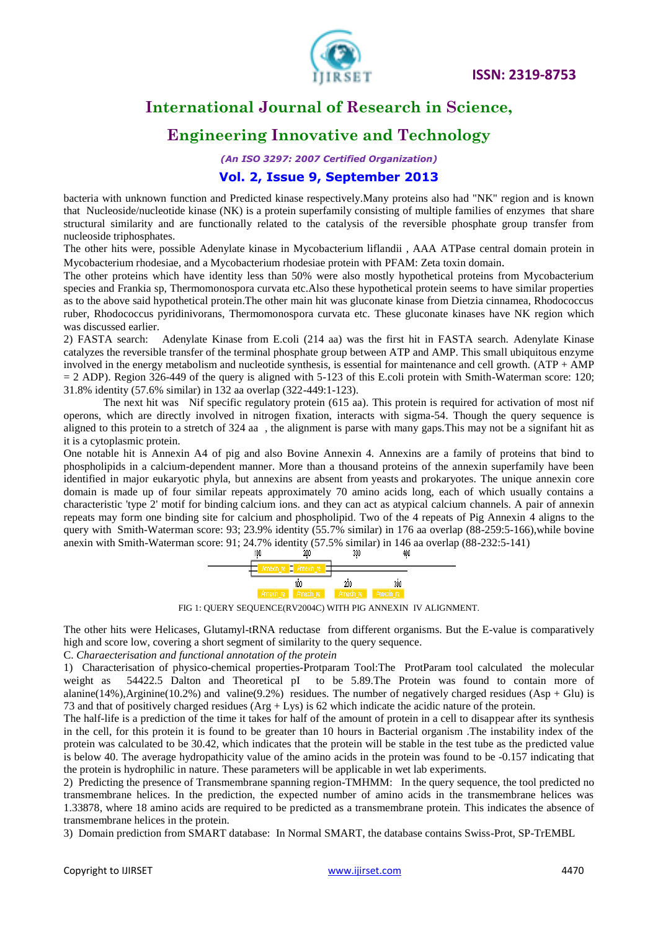

# **Engineering Innovative and Technology**

*(An ISO 3297: 2007 Certified Organization)*

#### **Vol. 2, Issue 9, September 2013**

bacteria with unknown function and Predicted kinase respectively.Many proteins also had "NK" region and is known that Nucleoside/nucleotide kinase (NK) is a protein superfamily consisting of multiple families of enzymes that share structural similarity and are functionally related to the catalysis of the reversible phosphate group transfer from nucleoside triphosphates.

The other hits were, possible Adenylate kinase in Mycobacterium liflandii , AAA ATPase central domain protein in Mycobacterium rhodesiae, and a Mycobacterium rhodesiae protein with PFAM: Zeta toxin domain.

The other proteins which have identity less than 50% were also mostly hypothetical proteins from Mycobacterium species and Frankia sp, Thermomonospora curvata etc.Also these hypothetical protein seems to have similar properties as to the above said hypothetical protein.The other main hit was gluconate kinase from Dietzia cinnamea, Rhodococcus ruber, Rhodococcus pyridinivorans, Thermomonospora curvata etc. These gluconate kinases have NK region which was discussed earlier.

2) FASTA search: Adenylate Kinase from E.coli (214 aa) was the first hit in FASTA search. Adenylate Kinase catalyzes the reversible transfer of the terminal phosphate group between ATP and AMP. This small ubiquitous enzyme involved in the energy metabolism and nucleotide synthesis, is essential for maintenance and cell growth. (ATP + AMP  $= 2$  ADP). Region 326-449 of the query is aligned with 5-123 of this E.coli protein with Smith-Waterman score: 120; 31.8% identity (57.6% similar) in 132 aa overlap (322-449:1-123).

The next hit was Nif specific regulatory protein (615 aa). This protein is required for activation of most nif operons, which are directly involved in nitrogen fixation, interacts with sigma-54. Though the query sequence is aligned to this protein to a stretch of 324 aa , the alignment is parse with many gaps.This may not be a signifant hit as it is a cytoplasmic protein.

One notable hit is Annexin A4 of pig and also Bovine Annexin 4. Annexins are a family of proteins that bind to phospholipids in a calcium-dependent manner. More than a thousand proteins of the annexin superfamily have been identified in major eukaryotic phyla, but annexins are absent from [yeasts](http://europepmc.org/abstract/MED/15059252/?whatizit_url_Species=http://www.ncbi.nih.gov/Taxonomy/Browser/wwwtax.cgi?id=4932&lvl=0) and [prokaryotes.](http://europepmc.org/abstract/MED/15059252/?whatizit_url_Species=http://www.ncbi.nih.gov/Taxonomy/Browser/wwwtax.cgi?id=2&lvl=0) The unique annexin core domain is made up of four similar repeats approximately 70 amino acids long, each of which usually contains a characteristic 'type 2' motif for [binding](http://europepmc.org/abstract/MED/15059252/?whatizit_url_go_term=http://www.ebi.ac.uk/ego/GTerm?id=GO:0005488) [calcium ions.](http://europepmc.org/abstract/MED/15059252/?whatizit_url_Chemicals=http://www.ebi.ac.uk/chebi/searchId.do?chebiId=CHEBI%3A39124) and they can act as atypical calcium channels. A pair of annexin repeats may form one binding site for calcium and phospholipid. Two of the 4 repeats of Pig Annexin 4 aligns to the query with Smith-Waterman score: 93; 23.9% identity (55.7% similar) in 176 aa overlap (88-259:5-166),while bovine anexin with Smith-Waterman score: 91; 24.7% identity (57.5% similar) in 146 aa overlap (88-232:5-141)



FIG 1: QUERY SEQUENCE(RV2004C) WITH PIG ANNEXIN IV ALIGNMENT.

The other hits were Helicases, Glutamyl-tRNA reductase from different organisms. But the E-value is comparatively high and score low, covering a short segment of similarity to the query sequence.

C. *Charaecterisation and functional annotation of the protein*

1) Characterisation of physico-chemical properties-Protparam Tool:The ProtParam tool calculated the molecular weight as 54422.5 Dalton and Theoretical pI to be 5.89.The Protein was found to contain more of alanine(14%),Arginine(10.2%) and valine(9.2%) residues. The number of negatively charged residues (Asp + Glu) is 73 and that of positively charged residues (Arg + Lys) is 62 which indicate the acidic nature of the protein.

The half-life is a prediction of the time it takes for half of the amount of protein in a cell to disappear after its synthesis in the cell, for this protein it is found to be greater than 10 hours in Bacterial organism .The instability index of the protein was calculated to be 30.42, which indicates that the protein will be stable in the test tube as the predicted value is below 40. The average hydropathicity value of the amino acids in the protein was found to be -0.157 indicating that the protein is hydrophilic in nature. These parameters will be applicable in wet lab experiments.

2) Predicting the presence of Transmembrane spanning region-TMHMM: In the query sequence, the tool predicted no transmembrane helices. In the prediction, the expected number of amino acids in the transmembrane helices was 1.33878, where 18 amino acids are required to be predicted as a transmembrane protein. This indicates the absence of transmembrane helices in the protein.

3) Domain prediction from SMART database: In Normal SMART, the database contains Swiss-Prot, SP-TrEMBL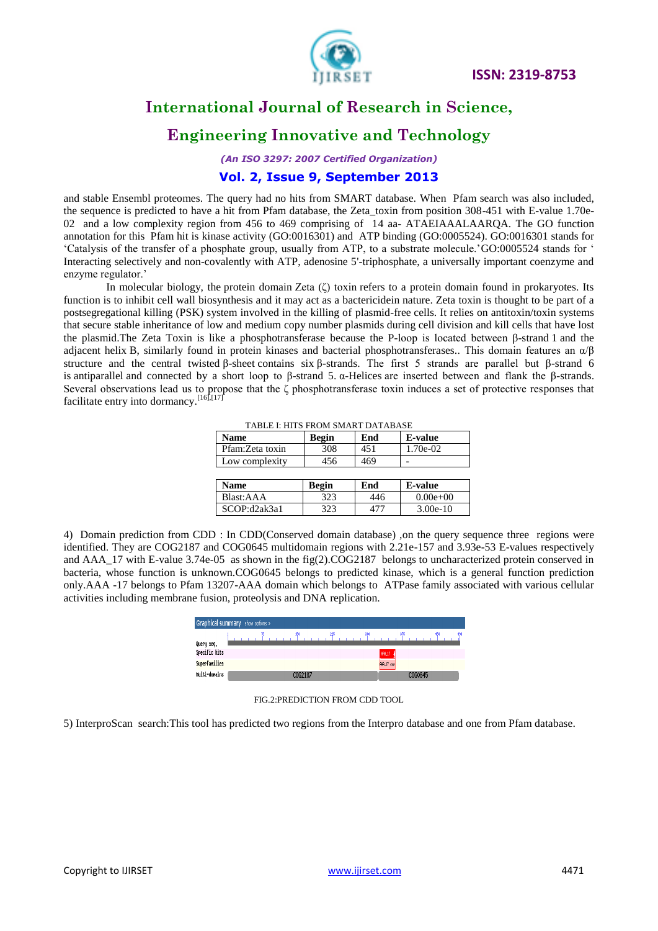

# **Engineering Innovative and Technology**

*(An ISO 3297: 2007 Certified Organization)* **Vol. 2, Issue 9, September 2013**

and stable Ensembl proteomes. The query had no hits from SMART database. When Pfam search was also included, the sequence is predicted to have a hit from Pfam database, the Zeta\_toxin from position 308-451 with E-value 1.70e-02 and a low complexity region from 456 to 469 comprising of 14 aa- ATAEIAAALAARQA. The GO function annotation for this Pfam hit is kinase activity [\(GO:0016301\)](http://www.ebi.ac.uk/QuickGO/GTerm?id=GO:0016301) and ATP binding [\(GO:0005524\)](http://www.ebi.ac.uk/QuickGO/GTerm?id=GO:0005524)[. GO:0016301](http://www.ebi.ac.uk/QuickGO/GTerm?id=GO:0016301) stands for "Catalysis of the transfer of a phosphate group, usually from ATP, to a substrate molecule.["GO:0005524](http://www.ebi.ac.uk/QuickGO/GTerm?id=GO:0005524) stands for " Interacting selectively and non-covalently with ATP, adenosine 5'-triphosphate, a universally important coenzyme and enzyme regulator."

In molecular biology, the [protein domain](http://en.wikipedia.org/wiki/Protein_domain) Zeta (ζ) toxin refers to a protein domain found in prokaryotes. Its function is to inhibit cell wall biosynthesis and it may act as a [bactericidei](http://en.wikipedia.org/wiki/Bactericide)n nature. Zeta toxin is thought to be part of a postsegregational killing (PSK) system involved in the killing of [plasmid-](http://en.wikipedia.org/wiki/Plasmid)free [cells.](http://en.wikipedia.org/wiki/Cell_(biology)) It relies on antitoxin/toxin systems that secure stable inheritance of low and medium [copy number](http://en.wikipedia.org/wiki/Gene_copy_number) [plasmids](http://en.wikipedia.org/wiki/Plasmids) during [cell division](http://en.wikipedia.org/wiki/Cell_cycle) and kill [cells](http://en.wikipedia.org/wiki/Cell_(biology)) that have lost the [plasmid.](http://en.wikipedia.org/wiki/Plasmid)The Zeta Toxin is like a phosphotransferase because the P-loop is located between β-strand 1 and the adjacent helix B, similarly found in protein kinases and bacterial phosphotransferases.. This domain features an  $\alpha/\beta$ structure and the central twisted [β-sheet](http://en.wikipedia.org/wiki/Beta_sheet) contains six [β-strands.](http://en.wikipedia.org/w/index.php?title=Beta_strands&action=edit&redlink=1) The first 5 strands are parallel but β-strand 6 is [antiparallel](http://en.wikipedia.org/wiki/Antiparallel_(biochemistry)) and connected by a short loop to β-strand 5.  $\alpha$ -Helices are inserted between and flank the β-strands. Several observations lead us to propose that the ζ phosphotransferase toxin induces a set of protective responses that facilitate entry into dormancy.<sup>[16],[17]</sup>

|  | TABLE I: HITS FROM SMART DATABASE |
|--|-----------------------------------|
|  |                                   |

| Name            | Begin        | End | E-value        |
|-----------------|--------------|-----|----------------|
| Pfam:Zeta toxin | 308          | 451 | 1.70e-02       |
| Low complexity  | 456          | 469 |                |
|                 |              |     |                |
|                 |              |     |                |
| Name            | <b>Begin</b> | End | <b>E-value</b> |
| Blast:AAA       | 323          | 446 | $0.00e + 00$   |

4) Domain prediction from CDD : In CDD(Conserved domain database) ,on the query sequence three regions were identified. They are COG2187 and COG0645 multidomain regions with 2.21e-157 and 3.93e-53 E-values respectively and AAA\_17 with E-value 3.74e-05 as shown in the fig(2).COG2187 belongs to uncharacterized protein conserved in bacteria, whose function is unknown.COG0645 belongs to predicted kinase, which is a general function prediction only.AAA -17 belongs to Pfam 13207-AAA domain which belongs to ATPase family associated with various cellular activities including membrane fusion, proteolysis and DNA replication.

| Graphical summary show options > |  |  |  |         |  |     |  |  |                   |     |         |     |  |     |
|----------------------------------|--|--|--|---------|--|-----|--|--|-------------------|-----|---------|-----|--|-----|
|                                  |  |  |  |         |  | 225 |  |  |                   | 375 |         | 451 |  | 498 |
| Query seq.                       |  |  |  |         |  |     |  |  |                   |     |         |     |  |     |
| Specific hits                    |  |  |  |         |  |     |  |  | RRA_17            |     |         |     |  |     |
| Superfanilies                    |  |  |  |         |  |     |  |  | <b>RRA_17</b> sup |     |         |     |  |     |
| Multi-donains                    |  |  |  | 0062187 |  |     |  |  |                   |     | COG0645 |     |  |     |

#### FIG.2:PREDICTION FROM CDD TOOL

5) InterproScan search:This tool has predicted two regions from the Interpro database and one from Pfam database.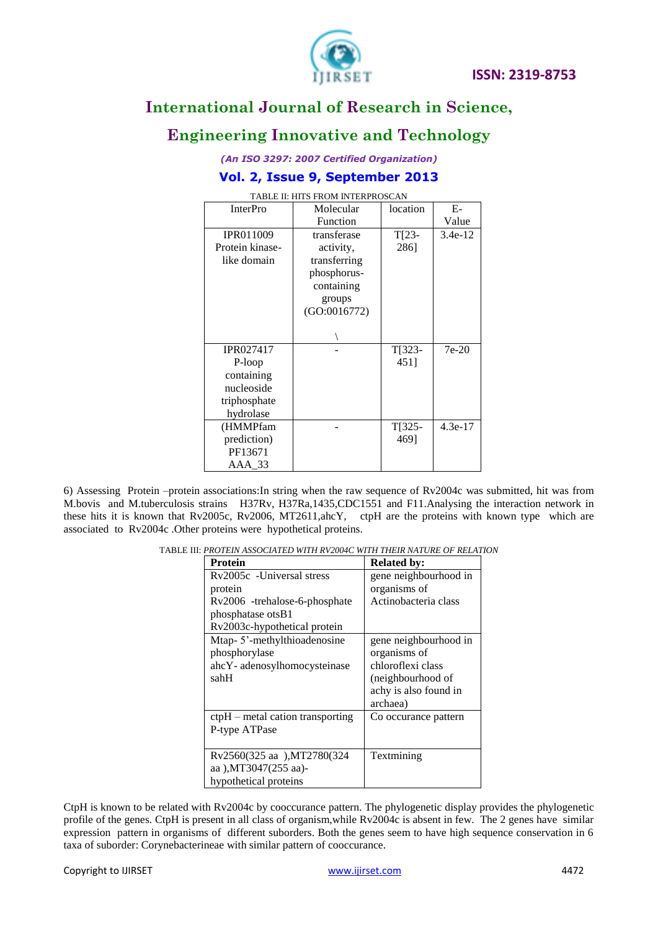

# **Engineering Innovative and Technology**

*(An ISO 3297: 2007 Certified Organization)*

### **Vol. 2, Issue 9, September 2013**

| <b>InterPro</b>  | Molecular    | location | $E-$      |
|------------------|--------------|----------|-----------|
|                  | Function     |          | Value     |
| <b>IPR011009</b> | transferase  | $T[23-$  | $3.4e-12$ |
| Protein kinase-  | activity,    | 286]     |           |
| like domain      | transferring |          |           |
|                  | phosphorus-  |          |           |
|                  | containing   |          |           |
|                  | groups       |          |           |
|                  | (GO:0016772) |          |           |
|                  |              |          |           |
|                  |              |          |           |
| <b>IPR027417</b> |              | $T[323-$ | $7e-20$   |
| P-loop           |              | 4511     |           |
| containing       |              |          |           |
| nucleoside       |              |          |           |
| triphosphate     |              |          |           |
| hydrolase        |              |          |           |
| (HMMPfam         |              | $T[325-$ | $4.3e-17$ |
| prediction)      |              | 4691     |           |
| PF13671          |              |          |           |
| AAA 33           |              |          |           |

TABLE II: HITS FROM INTERPROSCAN

6) Assessing Protein –protein associations:In string when the raw sequence of Rv2004c was submitted, hit was from M.bovis and M.tuberculosis strains H37Rv, H37Ra,1435,CDC1551 and F11.Analysing the interaction network in these hits it is known that Rv2005c, Rv2006, MT2611,ahcY, ctpH are the proteins with known type which are associated to Rv2004c .Other proteins were hypothetical proteins.

TABLE III: *PROTEIN ASSOCIATED WITH RV2004C WITH THEIR NATURE OF RELATION*

| <b>Protein</b>                     | <b>Related by:</b>    |
|------------------------------------|-----------------------|
| Ry2005c -Universal stress          | gene neighbourhood in |
| protein                            | organisms of          |
| Rv2006 -trehalose-6-phosphate      | Actinobacteria class  |
| phosphatase otsB1                  |                       |
| Rv2003c-hypothetical protein       |                       |
| Mtap-5'-methylthioadenosine        | gene neighbourhood in |
| phosphorylase                      | organisms of          |
| ahcY- adenosylhomocysteinase       | chloroflexi class     |
| sahH                               | (neighbourhood of     |
|                                    | achy is also found in |
|                                    | archaea)              |
| $ctpH$ – metal cation transporting | Co occurance pattern  |
| P-type ATPase                      |                       |
|                                    |                       |
| Rv2560(325 aa ),MT2780(324         | Textmining            |
| aa ), MT3047(255 aa)-              |                       |
| hypothetical proteins              |                       |

CtpH is known to be related with Rv2004c by cooccurance pattern. The phylogenetic display provides the phylogenetic profile of the genes. CtpH is present in all class of organism,while Rv2004c is absent in few. The 2 genes have similar expression pattern in organisms of different suborders. Both the genes seem to have high sequence conservation in 6 taxa of suborder: [Corynebacterineae](https://en.wikipedia.org/wiki/Corynebacterineae) with similar pattern of cooccurance.

#### Copyright to IJIRSET [www.ijirset.com](http://www.ijirset.com/) 4472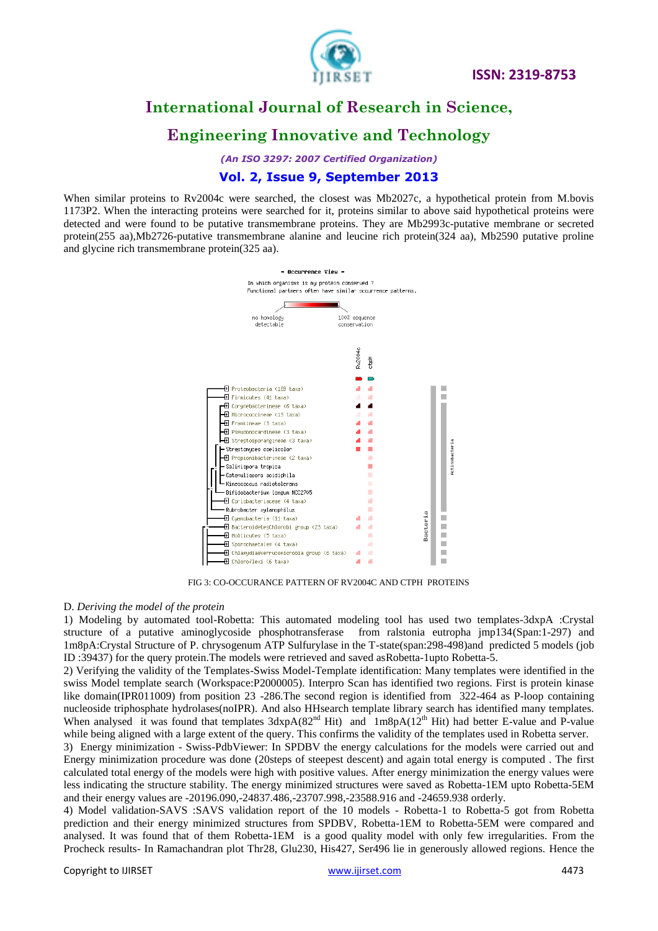

# **Engineering Innovative and Technology**

*(An ISO 3297: 2007 Certified Organization)*

### **Vol. 2, Issue 9, September 2013**

When similar proteins to Rv2004c were searched, the closest was Mb2027c, a hypothetical protein from M.bovis 1173P2. When the interacting proteins were searched for it, proteins similar to above said hypothetical proteins were detected and were found to be putative transmembrane proteins. They are Mb2993c-putative membrane or secreted protein(255 aa),Mb2726-putative transmembrane alanine and leucine rich protein(324 aa), Mb2590 putative proline and glycine rich transmembrane protein(325 aa).



FIG 3: CO-OCCURANCE PATTERN OF RV2004C AND CTPH PROTEINS

#### D. *Deriving the model of the protein*

1) Modeling by automated tool-Robetta: This automated modeling tool has used two templates-3dxpA :Crystal structure of a putative aminoglycoside phosphotransferase from ralstonia eutropha jmp134(Span:1-297) and 1m8pA:Crystal Structure of P. chrysogenum ATP Sulfurylase in the T-state(span:298-498)and predicted 5 models (job ID :39437) for the query protein.The models were retrieved and saved asRobetta-1upto Robetta-5.

2) Verifying the validity of the Templates-Swiss Model-Template identification: Many templates were identified in the swiss Model template search (Workspace:P2000005). Interpro Scan has identified two regions. First is protein kinase like domain(IPR011009) from position 23 -286.The second region is identified from 322-464 as P-loop containing nucleoside triphosphate hydrolases(noIPR). And also HHsearch template library search has identified many templates. When analysed it was found that templates  $3dxpA(82<sup>nd</sup> Hit)$  and  $1m8pA(12<sup>th</sup> Hit)$  had better E-value and P-value while being aligned with a large extent of the query. This confirms the validity of the templates used in Robetta server.

3) Energy minimization - Swiss-PdbViewer: In SPDBV the energy calculations for the models were carried out and Energy minimization procedure was done (20steps of steepest descent) and again total energy is computed . The first calculated total energy of the models were high with positive values. After energy minimization the energy values were less indicating the structure stability. The energy minimized structures were saved as Robetta-1EM upto Robetta-5EM and their energy values are -20196.090,-24837.486,-23707.998,-23588.916 and -24659.938 orderly.

4) Model validation-SAVS :SAVS validation report of the 10 models - Robetta-1 to Robetta-5 got from Robetta prediction and their energy minimized structures from SPDBV, Robetta-1EM to Robetta-5EM were compared and analysed. It was found that of them Robetta-1EM is a good quality model with only few irregularities. From the Procheck results- In Ramachandran plot Thr28, Glu230, His427, Ser496 lie in generously allowed regions. Hence the

Copyright to IJIRSET [www.ijirset.com](http://www.ijirset.com/) 4473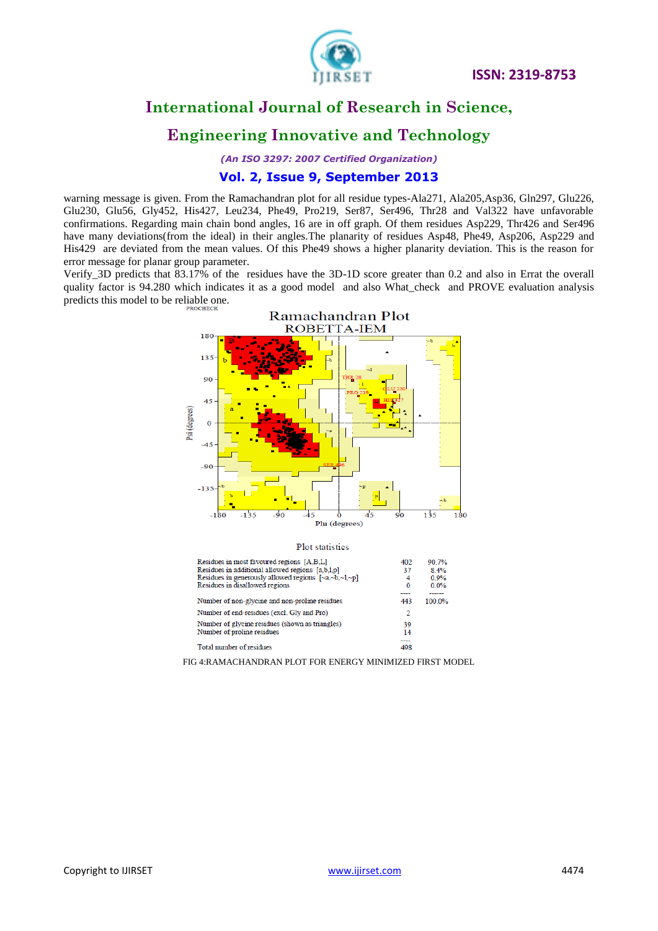

# **Engineering Innovative and Technology**

*(An ISO 3297: 2007 Certified Organization)*

### **Vol. 2, Issue 9, September 2013**

warning message is given. From the Ramachandran plot for all residue types-Ala271, Ala205, Asp36, Gln297, Glu226, Glu230, Glu56, Gly452, His427, Leu234, Phe49, Pro219, Ser87, Ser496, Thr28 and Val322 have unfavorable confirmations. Regarding main chain bond angles, 16 are in off graph. Of them residues Asp229, Thr426 and Ser496 have many deviations(from the ideal) in their angles. The planarity of residues Asp48, Phe49, Asp206, Asp229 and His429 are deviated from the mean values. Of this Phe49 shows a higher planarity deviation. This is the reason for error message for planar group parameter.

Verify\_3D predicts that 83.17% of the residues have the 3D-1D score greater than 0.2 and also in Errat the overall quality factor is 94.280 which indicates it as a good model and also What\_check and PROVE evaluation analysis predicts this model to be reliable one.



Total number of residues

FIG 4:RAMACHANDRAN PLOT FOR ENERGY MINIMIZED FIRST MODEL

 $\frac{1}{498}$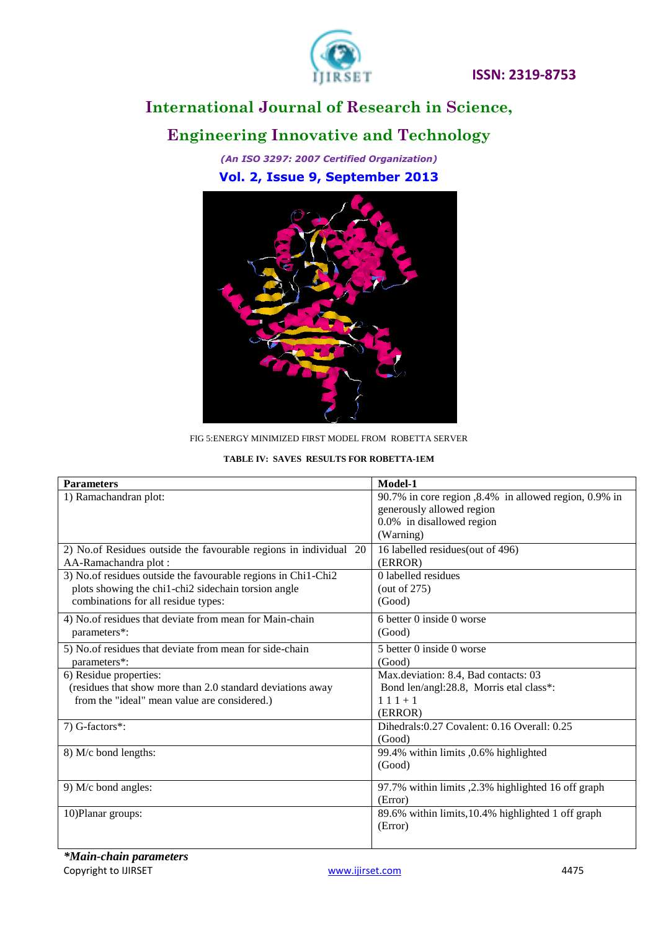

# **Engineering Innovative and Technology**

*(An ISO 3297: 2007 Certified Organization)* **Vol. 2, Issue 9, September 2013**



FIG 5:ENERGY MINIMIZED FIRST MODEL FROM ROBETTA SERVER

#### **TABLE IV: SAVES RESULTS FOR ROBETTA-1EM**

| <b>Parameters</b>                                                 | Model-1                                               |
|-------------------------------------------------------------------|-------------------------------------------------------|
| 1) Ramachandran plot:                                             | 90.7% in core region, 8.4% in allowed region, 0.9% in |
|                                                                   | generously allowed region                             |
|                                                                   | 0.0% in disallowed region                             |
|                                                                   | (Warning)                                             |
| 2) No.of Residues outside the favourable regions in individual 20 | 16 labelled residues (out of 496)                     |
| AA-Ramachandra plot:                                              | (ERROR)                                               |
| 3) No.of residues outside the favourable regions in Chi1-Chi2     | 0 labelled residues                                   |
| plots showing the chi1-chi2 sidechain torsion angle               | (out of $275$ )                                       |
| combinations for all residue types:                               | (Good)                                                |
| 4) No.of residues that deviate from mean for Main-chain           | 6 better 0 inside 0 worse                             |
| parameters*:                                                      | (Good)                                                |
| 5) No.of residues that deviate from mean for side-chain           | 5 better 0 inside 0 worse                             |
| parameters*:                                                      | (Good)                                                |
| 6) Residue properties:                                            | Max.deviation: 8.4, Bad contacts: 03                  |
| (residues that show more than 2.0 standard deviations away        | Bond len/angl:28.8, Morris etal class*:               |
| from the "ideal" mean value are considered.)                      | $111+1$                                               |
|                                                                   | (ERROR)                                               |
| 7) G-factors*:                                                    | Dihedrals: 0.27 Covalent: 0.16 Overall: 0.25          |
|                                                                   | (Good)                                                |
| 8) M/c bond lengths:                                              | 99.4% within limits ,0.6% highlighted                 |
|                                                                   | (Good)                                                |
| 9) M/c bond angles:                                               | 97.7% within limits , 2.3% highlighted 16 off graph   |
|                                                                   | (Error)                                               |
| 10) Planar groups:                                                | 89.6% within limits, 10.4% highlighted 1 off graph    |
|                                                                   | (Error)                                               |
|                                                                   |                                                       |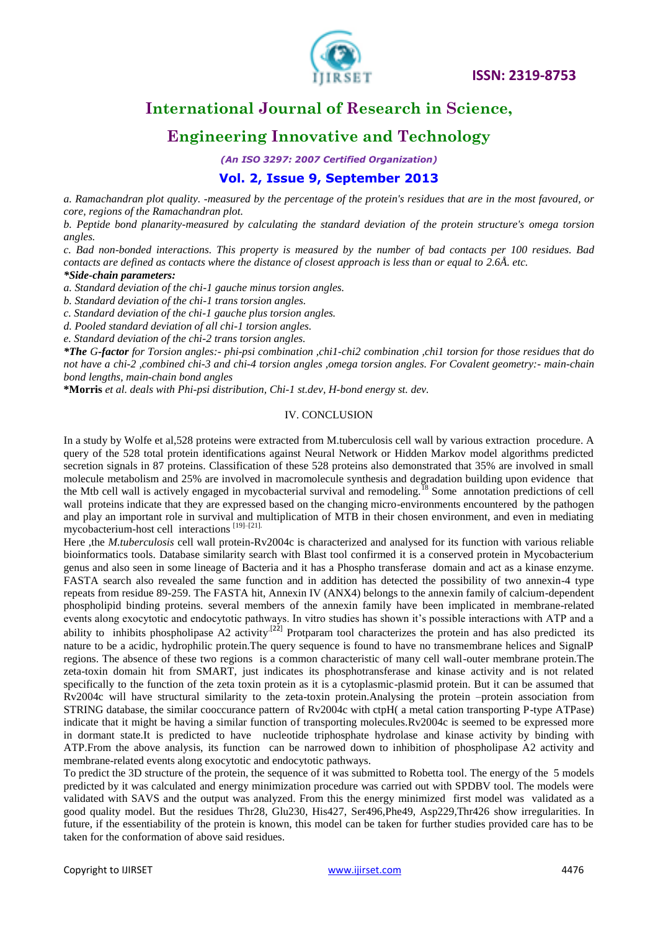

# **Engineering Innovative and Technology**

*(An ISO 3297: 2007 Certified Organization)*

#### **Vol. 2, Issue 9, September 2013**

*a. Ramachandran plot quality. -measured by the percentage of the protein's residues that are in the most favoured, or core, regions of the [Ramachandran plot.](http://www.ebi.ac.uk/thornton-srv/software/PROCHECK/manual/examples/plot_01.html)* 

*b. Peptide bond planarity-measured by calculating the standard deviation of the protein structure's omega torsion angles.* 

*c. Bad non-bonded interactions. This property is measured by the number of bad contacts per 100 residues. Bad contacts are defined as contacts where the distance of closest approach is less than or equal to 2.6Å. etc.*

#### *\*Side-chain parameters:*

*a. Standard deviation of the chi-1 gauche minus torsion angles.*

*b. Standard deviation of the chi-1 trans torsion angles.*

*c. Standard deviation of the chi-1 gauche plus torsion angles.*

*d. Pooled standard deviation of all chi-1 torsion angles.*

*e. Standard deviation of the chi-2 trans torsion angles.*

*\*The G-factor for Torsion angles:- phi-psi combination ,chi1-chi2 combination ,chi1 torsion for those residues that do not have a chi-2 ,combined chi-3 and chi-4 torsion angles ,omega torsion angles. For Covalent geometry:- main-chain bond lengths, main-chain bond angles*

**\*Morris** *et al. deals with Phi-psi distribution, Chi-1 st.dev, H-bond energy st. dev.* 

#### IV. CONCLUSION

In a study by Wolfe et al,528 proteins were extracted from M.tuberculosis cell wall by various extraction procedure. A query of the 528 total protein identifications against Neural Network or Hidden Markov model algorithms predicted secretion signals in 87 proteins. Classification of these 528 proteins also demonstrated that 35% are involved in small molecule metabolism and 25% are involved in macromolecule synthesis and degradation building upon evidence that the Mtb cell wall is actively engaged in mycobacterial survival and remodeling.<sup>18</sup> Some annotation predictions of cell wall proteins indicate that they are expressed based on the changing micro-environments encountered by the pathogen and play an important role in survival and multiplication of MTB in their chosen environment, and even in mediating mycobacterium-host cell interactions [19]–[21].

Here ,the *M.tuberculosis* cell wall protein-Rv2004c is characterized and analysed for its function with various reliable bioinformatics tools. Database similarity search with Blast tool confirmed it is a conserved protein in Mycobacterium genus and also seen in some lineage of Bacteria and it has a Phospho transferase domain and act as a kinase enzyme. FASTA search also revealed the same function and in addition has detected the possibility of two annexin-4 type repeats from residue 89-259. The FASTA hit, Annexin IV (ANX4) belongs to the annexin family of calcium-dependent phospholipid binding proteins. several members of the annexin family have been implicated in membrane-related events along exocytotic and endocytotic pathways. In vitro studies has shown it's possible interactions with ATP and a ability to inhibits phospholipase A2 activity<sup>[22]</sup> Protparam tool characterizes the protein and has also predicted its nature to be a acidic, hydrophilic protein.The query sequence is found to have no transmembrane helices and SignalP regions. The absence of these two regions is a common characteristic of many cell wall-outer membrane protein.The zeta-toxin domain hit from SMART, just indicates its phosphotransferase and kinase activity and is not related specifically to the function of the zeta toxin protein as it is a cytoplasmic-plasmid protein. But it can be assumed that Rv2004c will have structural similarity to the zeta-toxin protein.Analysing the protein –protein association from STRING database, the similar cooccurance pattern of Rv2004c with ctpH( a metal cation transporting P-type ATPase) indicate that it might be having a similar function of transporting molecules.Rv2004c is seemed to be expressed more in dormant state.It is predicted to have nucleotide triphosphate hydrolase and kinase activity by binding with ATP.From the above analysis, its function can be narrowed down to inhibition of phospholipase A2 activity and membrane-related events along exocytotic and endocytotic pathways.

To predict the 3D structure of the protein, the sequence of it was submitted to Robetta tool. The energy of the 5 models predicted by it was calculated and energy minimization procedure was carried out with SPDBV tool. The models were validated with SAVS and the output was analyzed. From this the energy minimized first model was validated as a good quality model. But the residues Thr28, Glu230, His427, Ser496,Phe49, Asp229,Thr426 show irregularities. In future, if the essentiability of the protein is known, this model can be taken for further studies provided care has to be taken for the conformation of above said residues.